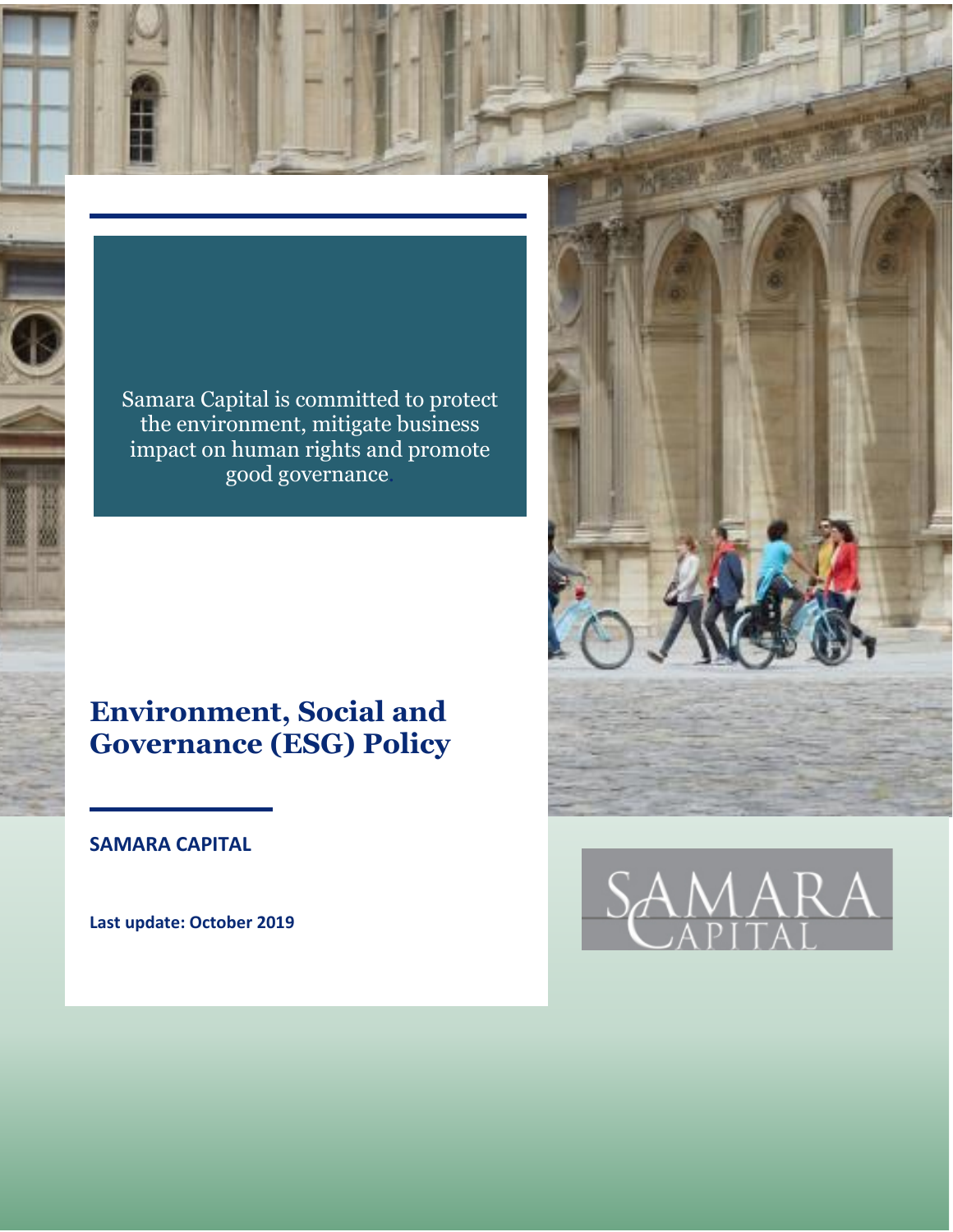Samara Capital is committed to protect the environment, mitigate business impact on human rights and promote good governance.

# **Environment, Social and Governance (ESG) Policy**

**SAMARA CAPITAL**

**Last update: October 2019**



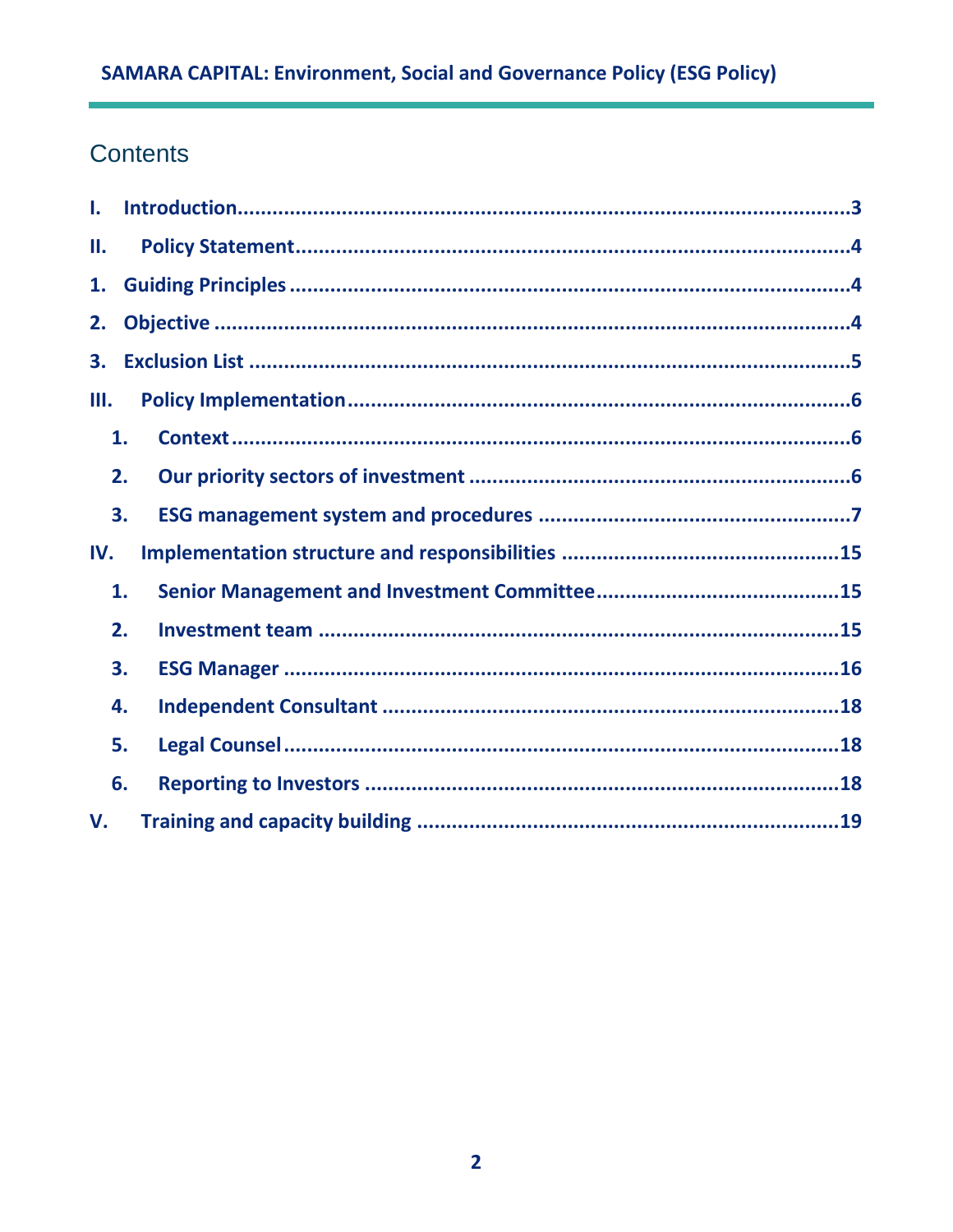# Contents

| I.  |    |  |  |
|-----|----|--|--|
| Н.  |    |  |  |
| 1.  |    |  |  |
| 2.  |    |  |  |
| 3.  |    |  |  |
| Ш.  |    |  |  |
|     | 1. |  |  |
|     | 2. |  |  |
|     | 3. |  |  |
| IV. |    |  |  |
|     | 1. |  |  |
|     | 2. |  |  |
|     | 3. |  |  |
|     | 4. |  |  |
|     | 5. |  |  |
|     | 6. |  |  |
| V.  |    |  |  |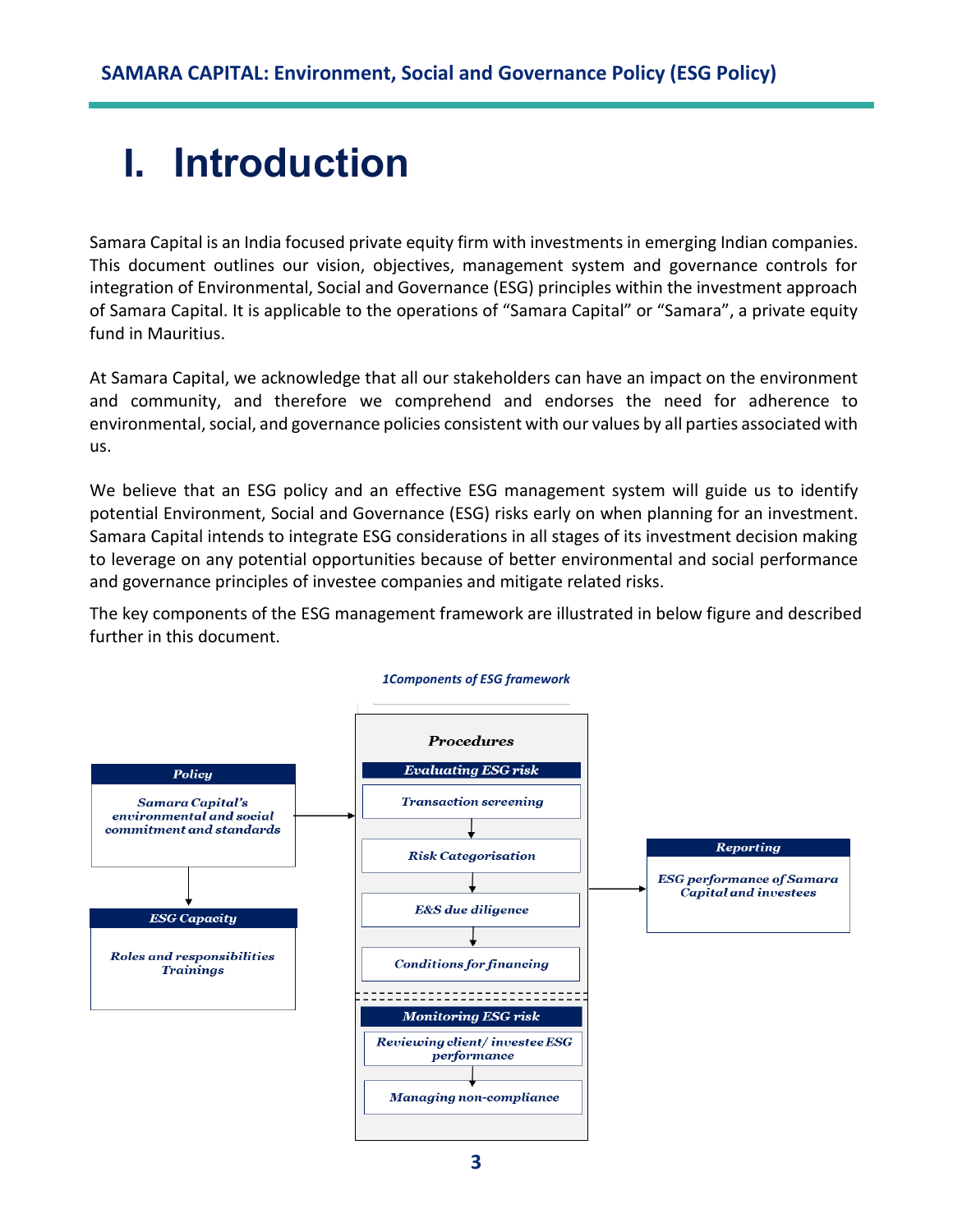# <span id="page-2-0"></span>**I. Introduction**

Samara Capital is an India focused private equity firm with investments in emerging Indian companies. This document outlines our vision, objectives, management system and governance controls for integration of Environmental, Social and Governance (ESG) principles within the investment approach of Samara Capital. It is applicable to the operations of "Samara Capital" or "Samara", a private equity fund in Mauritius.

At Samara Capital, we acknowledge that all our stakeholders can have an impact on the environment and community, and therefore we comprehend and endorses the need for adherence to environmental, social, and governance policies consistent with our values by all parties associated with us.

We believe that an ESG policy and an effective ESG management system will guide us to identify potential Environment, Social and Governance (ESG) risks early on when planning for an investment. Samara Capital intends to integrate ESG considerations in all stages of its investment decision making to leverage on any potential opportunities because of better environmental and social performance and governance principles of investee companies and mitigate related risks.

The key components of the ESG management framework are illustrated in below figure and described further in this document.



#### *1Components of ESG framework*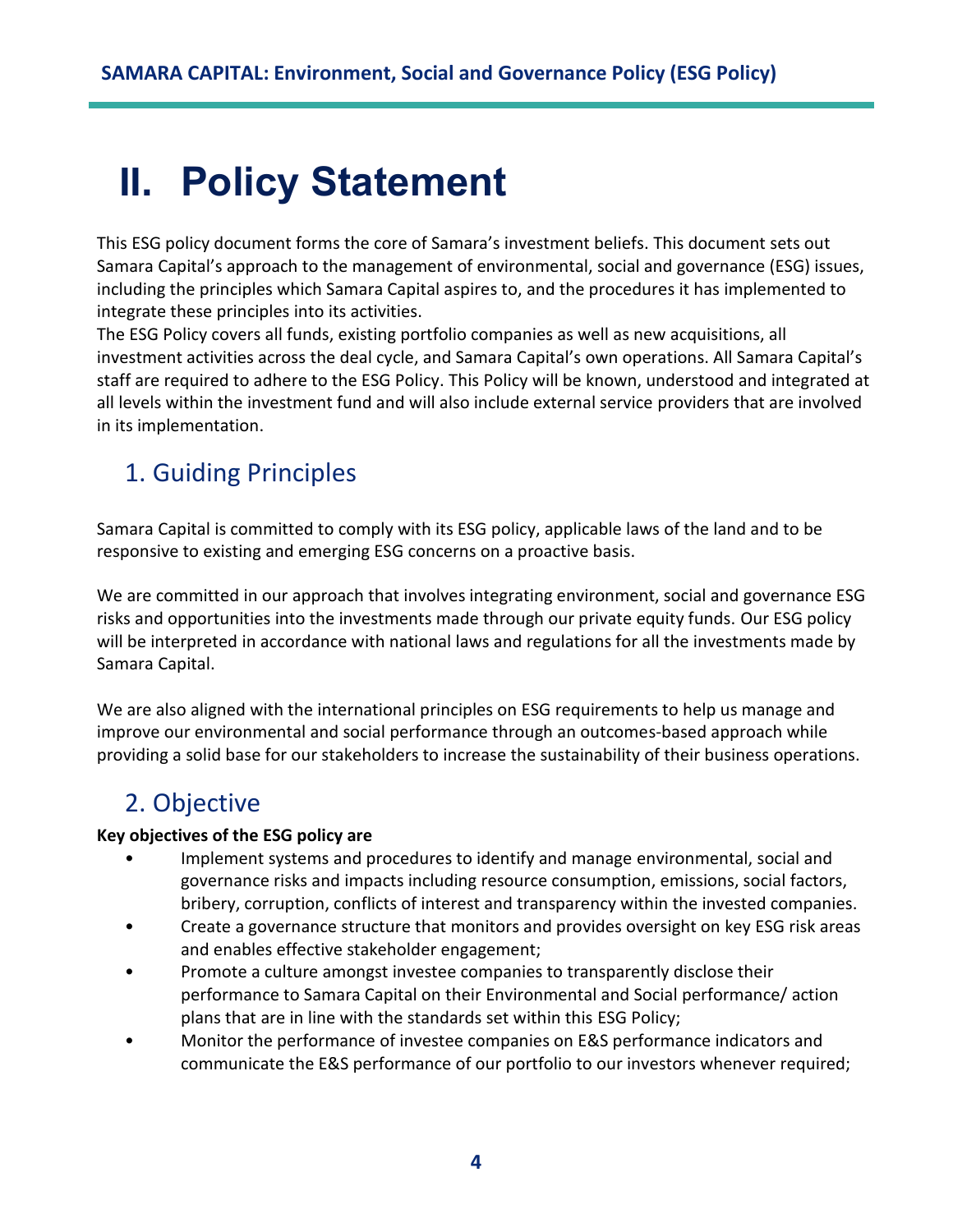# <span id="page-3-0"></span>**II. Policy Statement**

This ESG policy document forms the core of Samara's investment beliefs. This document sets out Samara Capital's approach to the management of environmental, social and governance (ESG) issues, including the principles which Samara Capital aspires to, and the procedures it has implemented to integrate these principles into its activities.

The ESG Policy covers all funds, existing portfolio companies as well as new acquisitions, all investment activities across the deal cycle, and Samara Capital's own operations. All Samara Capital's staff are required to adhere to the ESG Policy. This Policy will be known, understood and integrated at all levels within the investment fund and will also include external service providers that are involved in its implementation.

# <span id="page-3-1"></span>1. Guiding Principles

Samara Capital is committed to comply with its ESG policy, applicable laws of the land and to be responsive to existing and emerging ESG concerns on a proactive basis.

We are committed in our approach that involves integrating environment, social and governance ESG risks and opportunities into the investments made through our private equity funds. Our ESG policy will be interpreted in accordance with national laws and regulations for all the investments made by Samara Capital.

We are also aligned with the international principles on ESG requirements to help us manage and improve our environmental and social performance through an outcomes-based approach while providing a solid base for our stakeholders to increase the sustainability of their business operations.

# <span id="page-3-2"></span>2. Objective

## **Key objectives of the ESG policy are**

- Implement systems and procedures to identify and manage environmental, social and governance risks and impacts including resource consumption, emissions, social factors, bribery, corruption, conflicts of interest and transparency within the invested companies.
- Create a governance structure that monitors and provides oversight on key ESG risk areas and enables effective stakeholder engagement;
- Promote a culture amongst investee companies to transparently disclose their performance to Samara Capital on their Environmental and Social performance/ action plans that are in line with the standards set within this ESG Policy;
- Monitor the performance of investee companies on E&S performance indicators and communicate the E&S performance of our portfolio to our investors whenever required;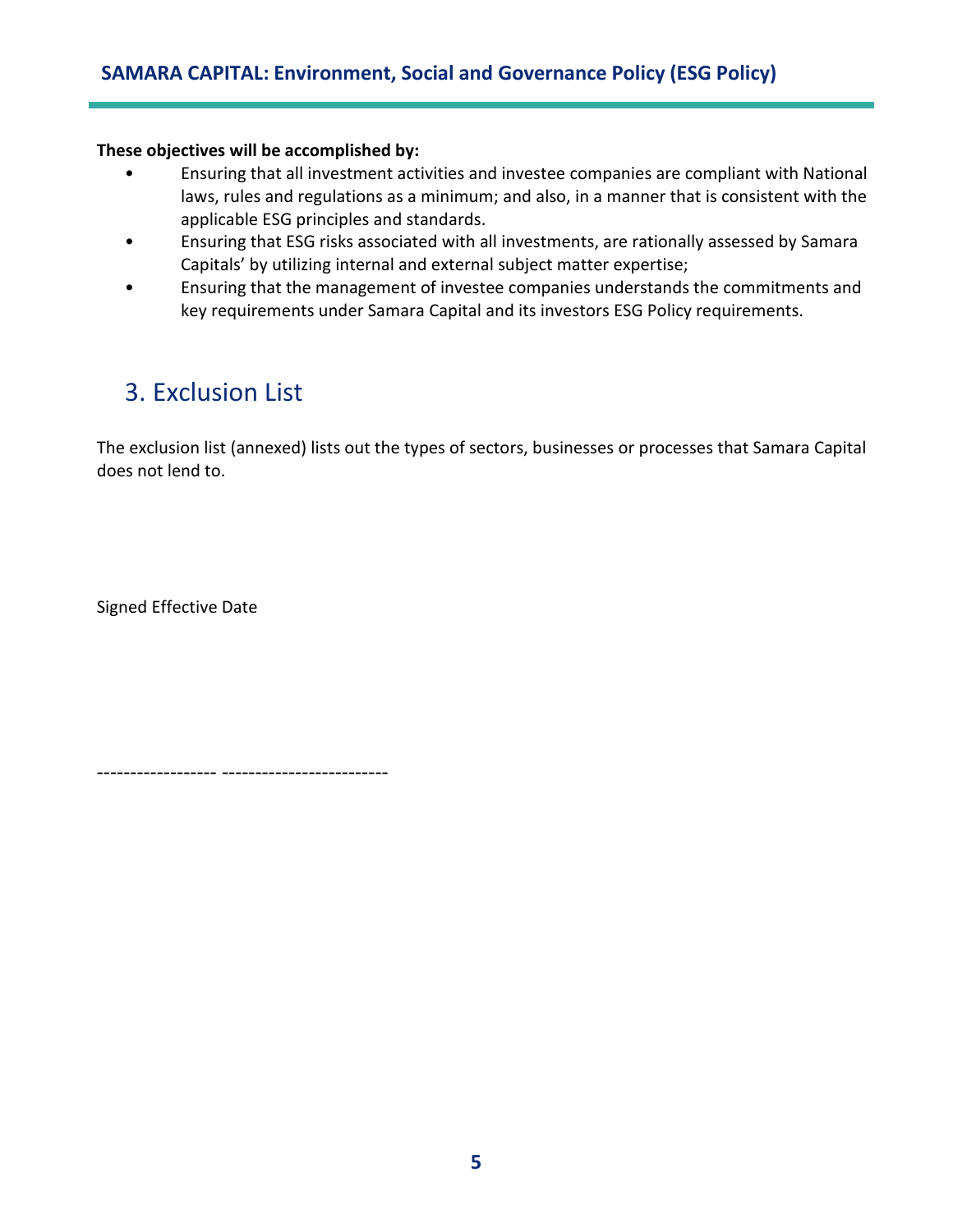### **These objectives will be accomplished by:**

- Ensuring that all investment activities and investee companies are compliant with National laws, rules and regulations as a minimum; and also, in a manner that is consistent with the applicable ESG principles and standards.
- Ensuring that ESG risks associated with all investments, are rationally assessed by Samara Capitals' by utilizing internal and external subject matter expertise;
- Ensuring that the management of investee companies understands the commitments and key requirements under Samara Capital and its investors ESG Policy requirements.

# <span id="page-4-0"></span>3. Exclusion List

The exclusion list (annexed) lists out the types of sectors, businesses or processes that Samara Capital does not lend to.

Signed Effective Date

------------------ -------------------------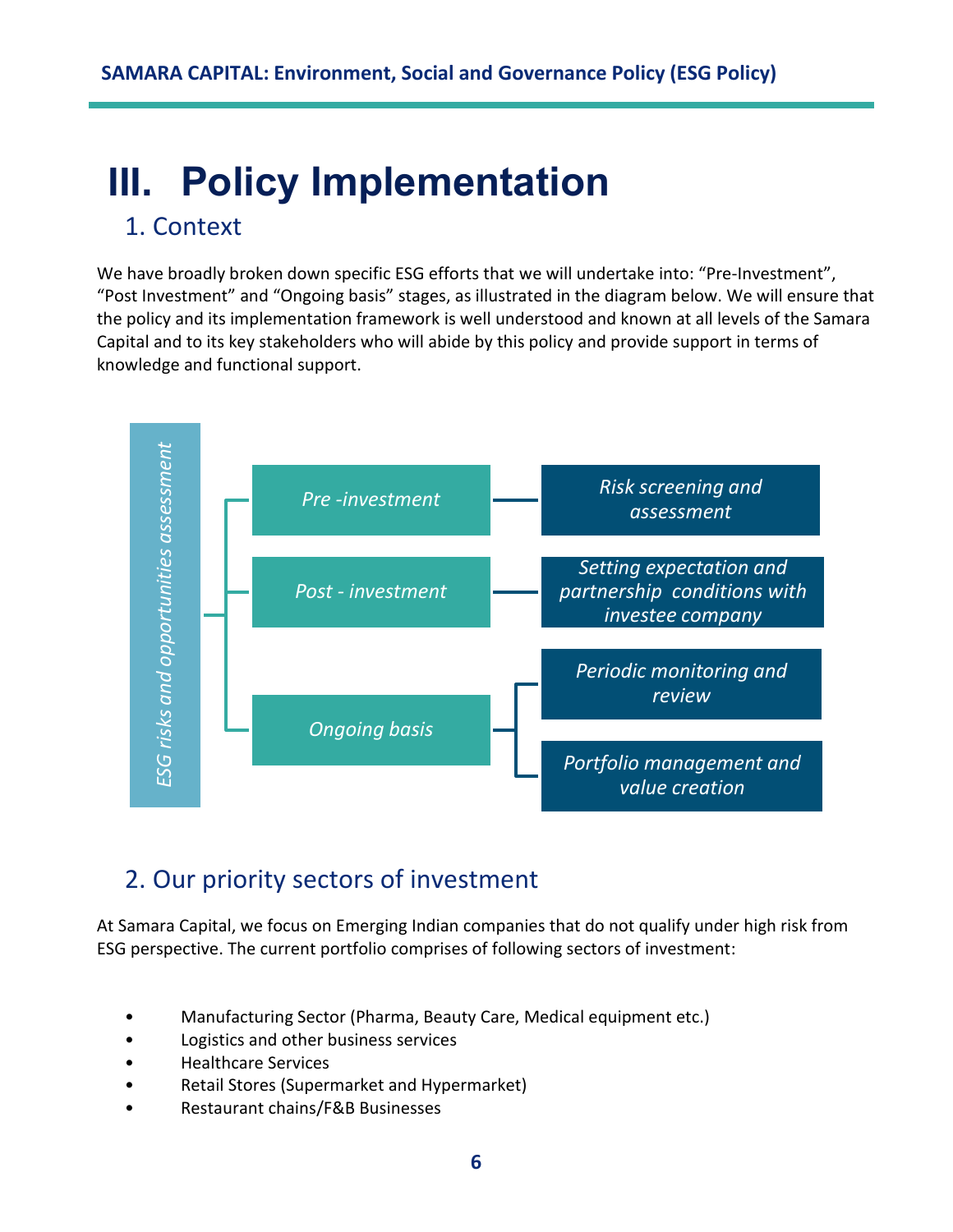# <span id="page-5-0"></span>**III. Policy Implementation**

# <span id="page-5-1"></span>1. Context

We have broadly broken down specific ESG efforts that we will undertake into: "Pre-Investment", "Post Investment" and "Ongoing basis" stages, as illustrated in the diagram below. We will ensure that the policy and its implementation framework is well understood and known at all levels of the Samara Capital and to its key stakeholders who will abide by this policy and provide support in terms of knowledge and functional support.



# <span id="page-5-2"></span>2. Our priority sectors of investment

At Samara Capital, we focus on Emerging Indian companies that do not qualify under high risk from ESG perspective. The current portfolio comprises of following sectors of investment:

- Manufacturing Sector (Pharma, Beauty Care, Medical equipment etc.)
- Logistics and other business services
- Healthcare Services
- Retail Stores (Supermarket and Hypermarket)
-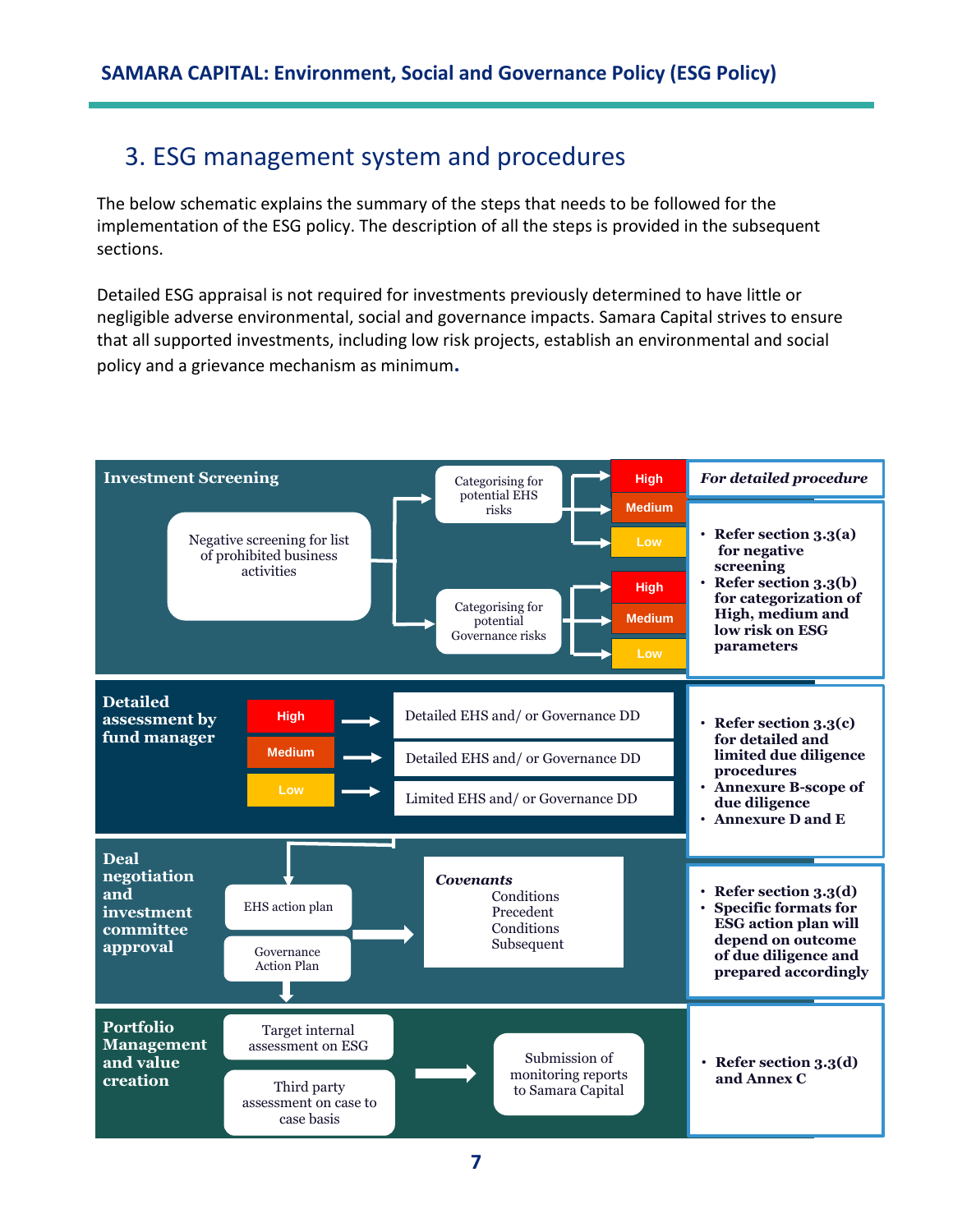# <span id="page-6-0"></span>3. ESG management system and procedures

The below schematic explains the summary of the steps that needs to be followed for the implementation of the ESG policy. The description of all the steps is provided in the subsequent sections.

Detailed ESG appraisal is not required for investments previously determined to have little or negligible adverse environmental, social and governance impacts. Samara Capital strives to ensure that all supported investments, including low risk projects, establish an environmental and social policy and a grievance mechanism as minimum**.** 

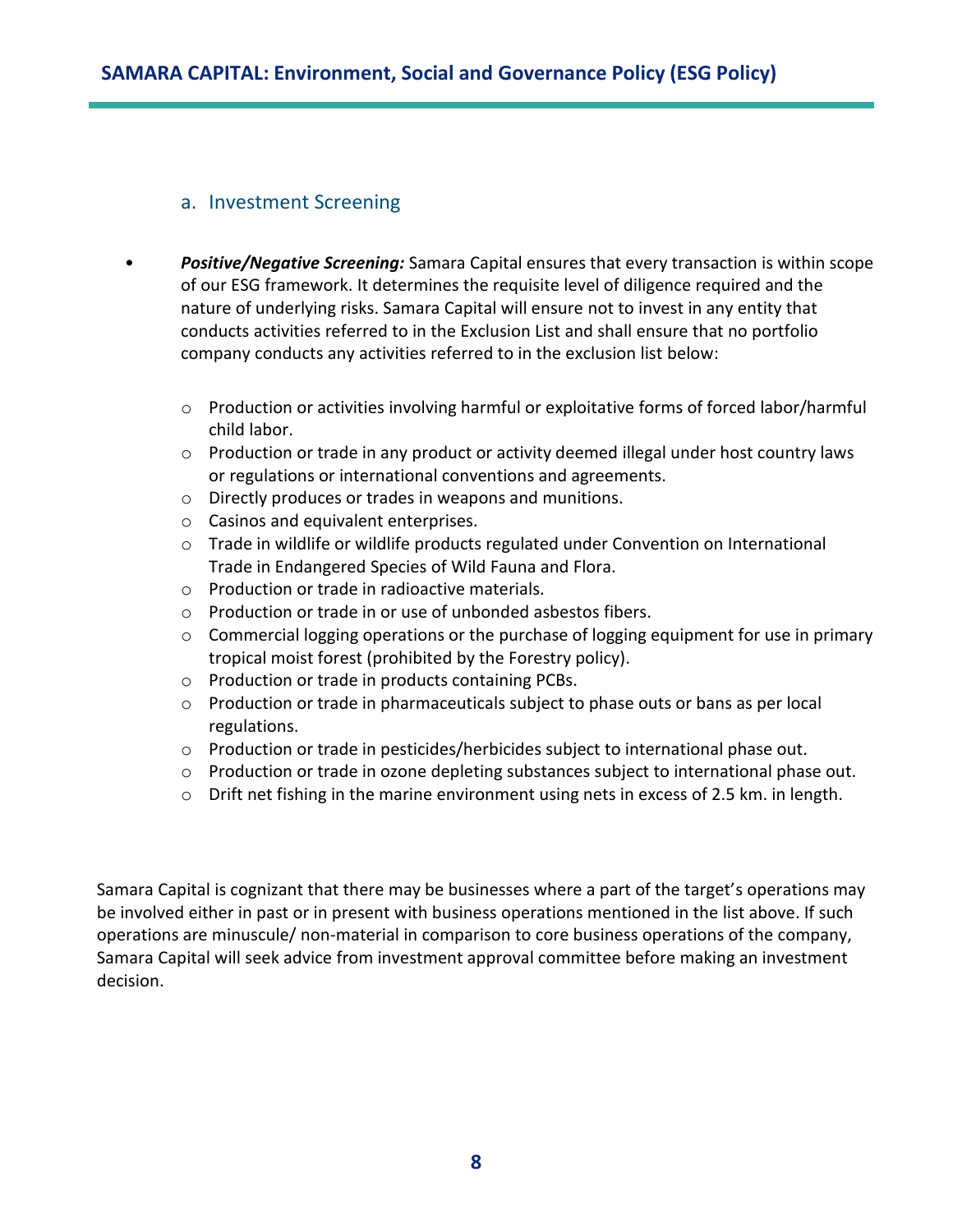## a. Investment Screening

- *Positive/Negative Screening:* Samara Capital ensures that every transaction is within scope of our ESG framework. It determines the requisite level of diligence required and the nature of underlying risks. Samara Capital will ensure not to invest in any entity that conducts activities referred to in the Exclusion List and shall ensure that no portfolio company conducts any activities referred to in the exclusion list below:
	- o Production or activities involving harmful or exploitative forms of forced labor/harmful child labor.
	- o Production or trade in any product or activity deemed illegal under host country laws or regulations or international conventions and agreements.
	- o Directly produces or trades in weapons and munitions.
	- o Casinos and equivalent enterprises.
	- $\circ$  Trade in wildlife or wildlife products regulated under Convention on International Trade in Endangered Species of Wild Fauna and Flora.
	- o Production or trade in radioactive materials.
	- o Production or trade in or use of unbonded asbestos fibers.
	- $\circ$  Commercial logging operations or the purchase of logging equipment for use in primary tropical moist forest (prohibited by the Forestry policy).
	- o Production or trade in products containing PCBs.
	- $\circ$  Production or trade in pharmaceuticals subject to phase outs or bans as per local regulations.
	- $\circ$  Production or trade in pesticides/herbicides subject to international phase out.
	- $\circ$  Production or trade in ozone depleting substances subject to international phase out.
	- o Drift net fishing in the marine environment using nets in excess of 2.5 km. in length.

Samara Capital is cognizant that there may be businesses where a part of the target's operations may be involved either in past or in present with business operations mentioned in the list above. If such operations are minuscule/ non-material in comparison to core business operations of the company, Samara Capital will seek advice from investment approval committee before making an investment decision.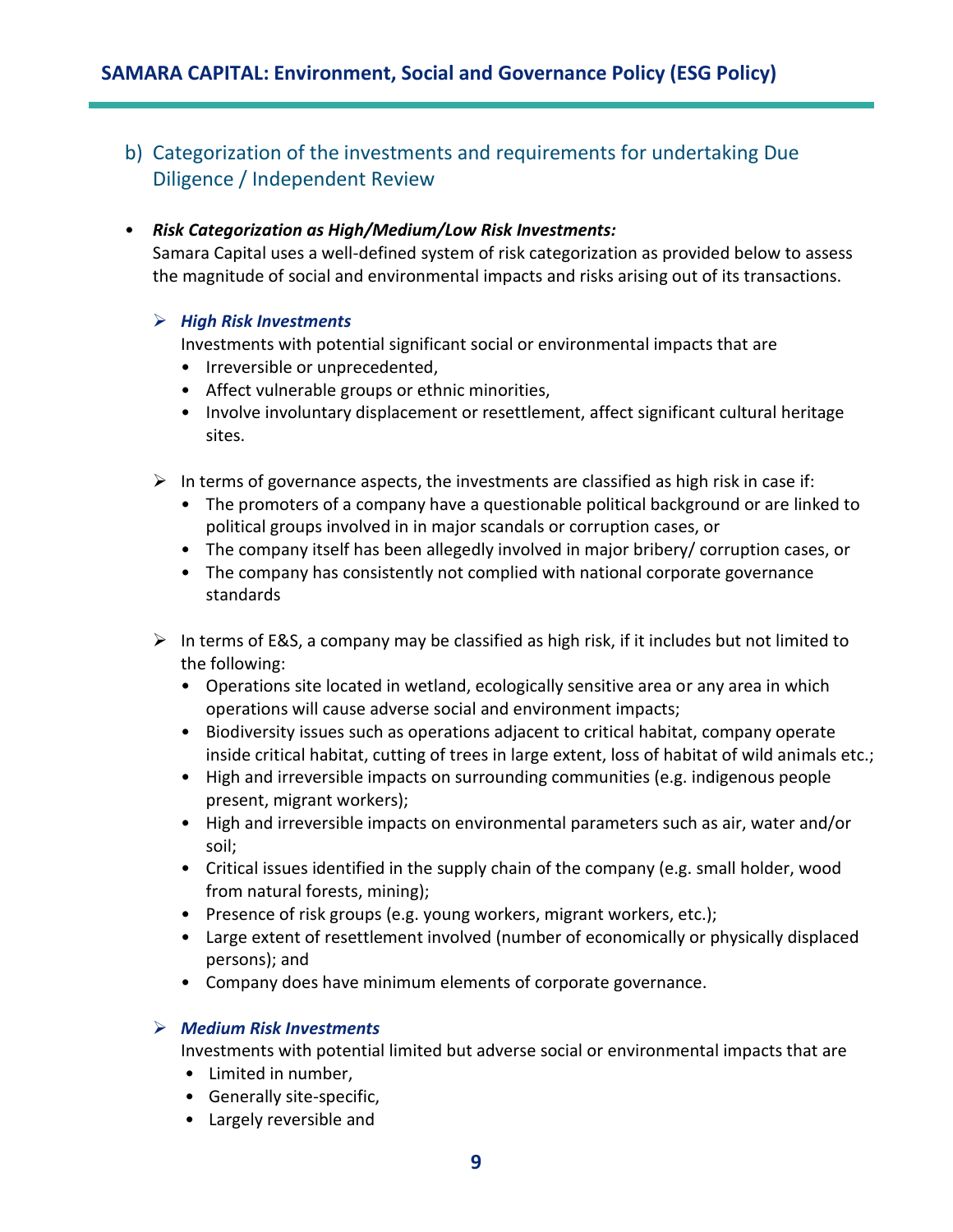b) Categorization of the investments and requirements for undertaking Due Diligence / Independent Review

### • *Risk Categorization as High/Medium/Low Risk Investments:*

Samara Capital uses a well-defined system of risk categorization as provided below to assess the magnitude of social and environmental impacts and risks arising out of its transactions.

### ➢ *High Risk Investments*

Investments with potential significant social or environmental impacts that are

- Irreversible or unprecedented,
- Affect vulnerable groups or ethnic minorities,
- Involve involuntary displacement or resettlement, affect significant cultural heritage sites.
- $\triangleright$  In terms of governance aspects, the investments are classified as high risk in case if:
	- The promoters of a company have a questionable political background or are linked to political groups involved in in major scandals or corruption cases, or
	- The company itself has been allegedly involved in major bribery/ corruption cases, or
	- The company has consistently not complied with national corporate governance standards
- $\triangleright$  In terms of E&S, a company may be classified as high risk, if it includes but not limited to the following:
	- Operations site located in wetland, ecologically sensitive area or any area in which operations will cause adverse social and environment impacts;
	- Biodiversity issues such as operations adjacent to critical habitat, company operate inside critical habitat, cutting of trees in large extent, loss of habitat of wild animals etc.;
	- High and irreversible impacts on surrounding communities (e.g. indigenous people present, migrant workers);
	- High and irreversible impacts on environmental parameters such as air, water and/or soil;
	- Critical issues identified in the supply chain of the company (e.g. small holder, wood from natural forests, mining);
	- Presence of risk groups (e.g. young workers, migrant workers, etc.);
	- Large extent of resettlement involved (number of economically or physically displaced persons); and
	- Company does have minimum elements of corporate governance.

## ➢ *Medium Risk Investments*

Investments with potential limited but adverse social or environmental impacts that are

- Limited in number,
- Generally site-specific,
- Largely reversible and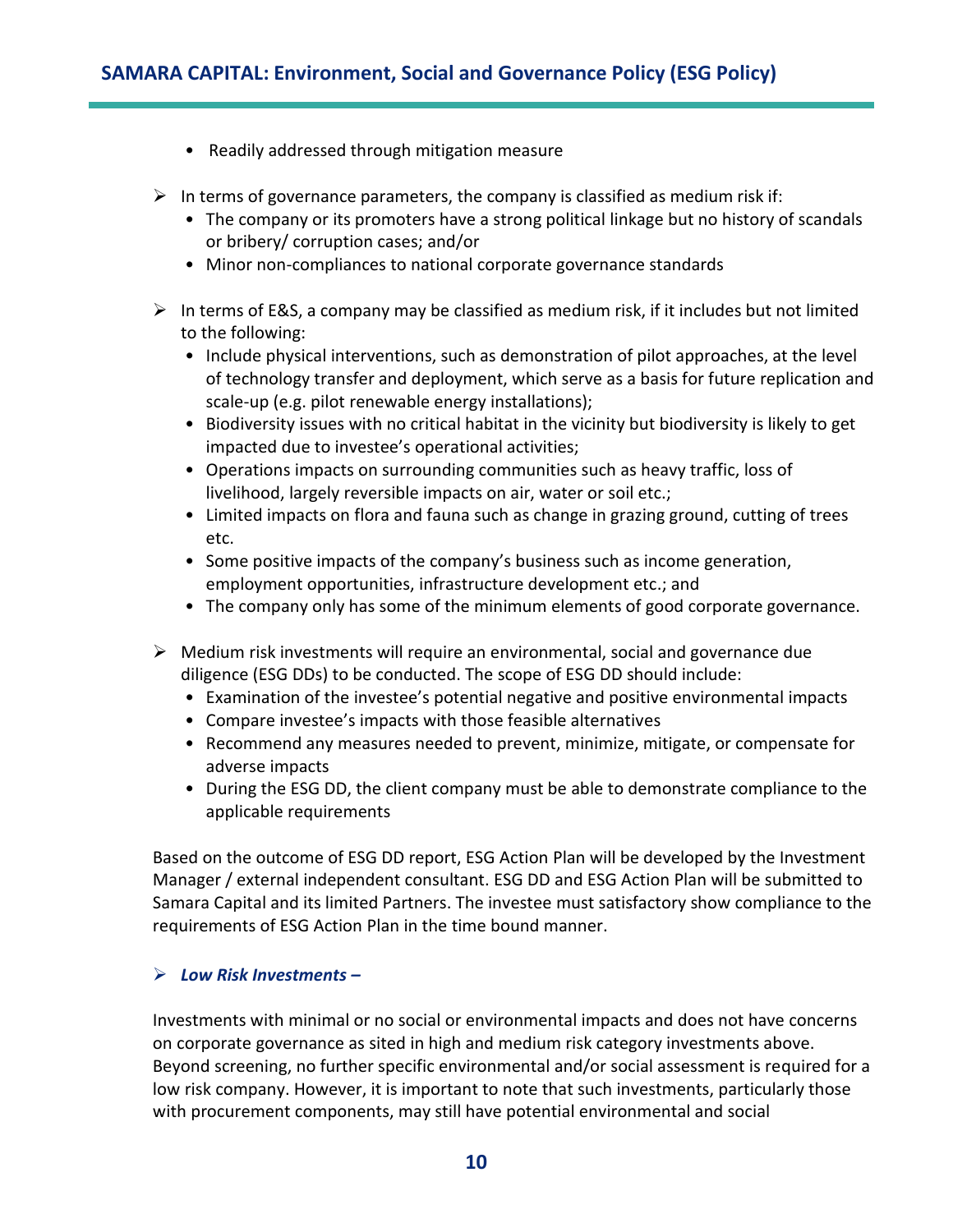- Readily addressed through mitigation measure
- $\triangleright$  In terms of governance parameters, the company is classified as medium risk if:
	- The company or its promoters have a strong political linkage but no history of scandals or bribery/ corruption cases; and/or
	- Minor non-compliances to national corporate governance standards
- $\triangleright$  In terms of E&S, a company may be classified as medium risk, if it includes but not limited to the following:
	- Include physical interventions, such as demonstration of pilot approaches, at the level of technology transfer and deployment, which serve as a basis for future replication and scale-up (e.g. pilot renewable energy installations);
	- Biodiversity issues with no critical habitat in the vicinity but biodiversity is likely to get impacted due to investee's operational activities;
	- Operations impacts on surrounding communities such as heavy traffic, loss of livelihood, largely reversible impacts on air, water or soil etc.;
	- Limited impacts on flora and fauna such as change in grazing ground, cutting of trees etc.
	- Some positive impacts of the company's business such as income generation, employment opportunities, infrastructure development etc.; and
	- The company only has some of the minimum elements of good corporate governance.
- $\triangleright$  Medium risk investments will require an environmental, social and governance due diligence (ESG DDs) to be conducted. The scope of ESG DD should include:
	- Examination of the investee's potential negative and positive environmental impacts
	- Compare investee's impacts with those feasible alternatives
	- Recommend any measures needed to prevent, minimize, mitigate, or compensate for adverse impacts
	- During the ESG DD, the client company must be able to demonstrate compliance to the applicable requirements

Based on the outcome of ESG DD report, ESG Action Plan will be developed by the Investment Manager / external independent consultant. ESG DD and ESG Action Plan will be submitted to Samara Capital and its limited Partners. The investee must satisfactory show compliance to the requirements of ESG Action Plan in the time bound manner.

### ➢ *Low Risk Investments –*

Investments with minimal or no social or environmental impacts and does not have concerns on corporate governance as sited in high and medium risk category investments above. Beyond screening, no further specific environmental and/or social assessment is required for a low risk company. However, it is important to note that such investments, particularly those with procurement components, may still have potential environmental and social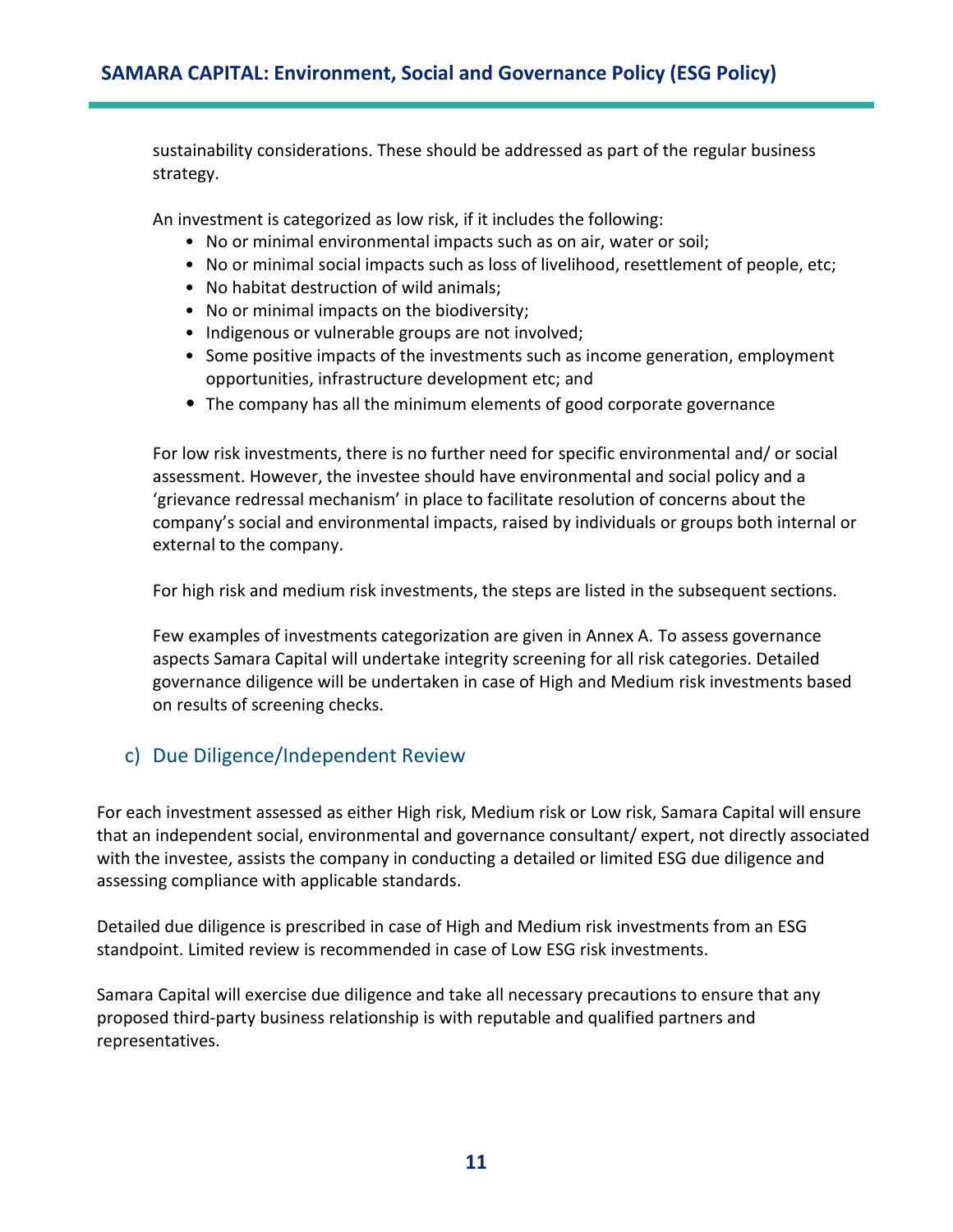sustainability considerations. These should be addressed as part of the regular business strategy.

An investment is categorized as low risk, if it includes the following:

- No or minimal environmental impacts such as on air, water or soil;
- No or minimal social impacts such as loss of livelihood, resettlement of people, etc;
- No habitat destruction of wild animals;
- No or minimal impacts on the biodiversity;
- Indigenous or vulnerable groups are not involved;
- Some positive impacts of the investments such as income generation, employment opportunities, infrastructure development etc; and
- The company has all the minimum elements of good corporate governance

For low risk investments, there is no further need for specific environmental and/ or social assessment. However, the investee should have environmental and social policy and a 'grievance redressal mechanism' in place to facilitate resolution of concerns about the company's social and environmental impacts, raised by individuals or groups both internal or external to the company.

For high risk and medium risk investments, the steps are listed in the subsequent sections.

Few examples of investments categorization are given in Annex A. To assess governance aspects Samara Capital will undertake integrity screening for all risk categories. Detailed governance diligence will be undertaken in case of High and Medium risk investments based on results of screening checks.

## c) Due Diligence/Independent Review

For each investment assessed as either High risk, Medium risk or Low risk, Samara Capital will ensure that an independent social, environmental and governance consultant/ expert, not directly associated with the investee, assists the company in conducting a detailed or limited ESG due diligence and assessing compliance with applicable standards.

Detailed due diligence is prescribed in case of High and Medium risk investments from an ESG standpoint. Limited review is recommended in case of Low ESG risk investments.

Samara Capital will exercise due diligence and take all necessary precautions to ensure that any proposed third-party business relationship is with reputable and qualified partners and representatives.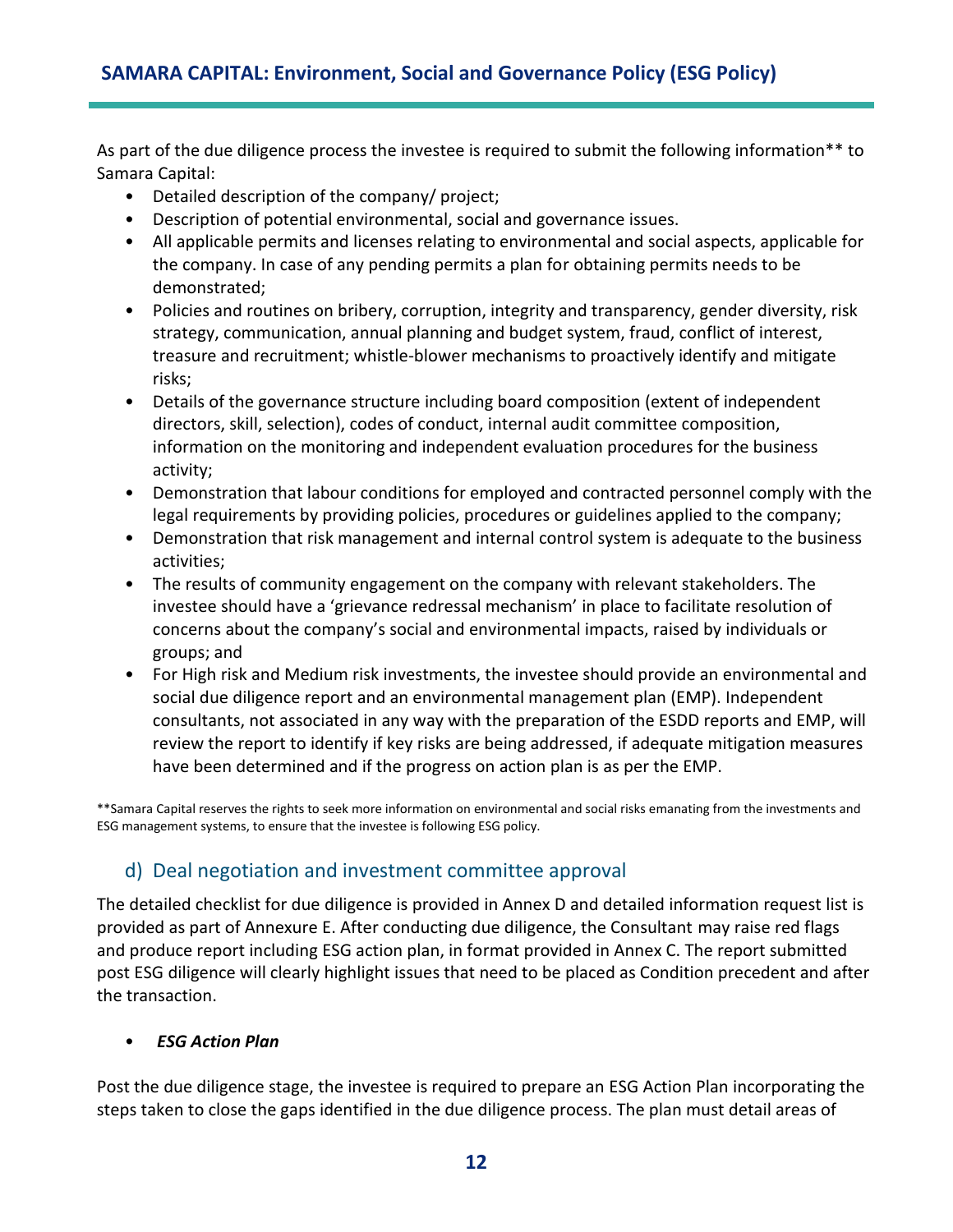As part of the due diligence process the investee is required to submit the following information\*\* to Samara Capital:

- Detailed description of the company/ project;
- Description of potential environmental, social and governance issues.
- All applicable permits and licenses relating to environmental and social aspects, applicable for the company. In case of any pending permits a plan for obtaining permits needs to be demonstrated;
- Policies and routines on bribery, corruption, integrity and transparency, gender diversity, risk strategy, communication, annual planning and budget system, fraud, conflict of interest, treasure and recruitment; whistle-blower mechanisms to proactively identify and mitigate risks;
- Details of the governance structure including board composition (extent of independent directors, skill, selection), codes of conduct, internal audit committee composition, information on the monitoring and independent evaluation procedures for the business activity;
- Demonstration that labour conditions for employed and contracted personnel comply with the legal requirements by providing policies, procedures or guidelines applied to the company;
- Demonstration that risk management and internal control system is adequate to the business activities;
- The results of community engagement on the company with relevant stakeholders. The investee should have a 'grievance redressal mechanism' in place to facilitate resolution of concerns about the company's social and environmental impacts, raised by individuals or groups; and
- For High risk and Medium risk investments, the investee should provide an environmental and social due diligence report and an environmental management plan (EMP). Independent consultants, not associated in any way with the preparation of the ESDD reports and EMP, will review the report to identify if key risks are being addressed, if adequate mitigation measures have been determined and if the progress on action plan is as per the EMP.

\*\*Samara Capital reserves the rights to seek more information on environmental and social risks emanating from the investments and ESG management systems, to ensure that the investee is following ESG policy.

## d) Deal negotiation and investment committee approval

The detailed checklist for due diligence is provided in Annex D and detailed information request list is provided as part of Annexure E. After conducting due diligence, the Consultant may raise red flags and produce report including ESG action plan, in format provided in Annex C. The report submitted post ESG diligence will clearly highlight issues that need to be placed as Condition precedent and after the transaction.

## • *ESG Action Plan*

Post the due diligence stage, the investee is required to prepare an ESG Action Plan incorporating the steps taken to close the gaps identified in the due diligence process. The plan must detail areas of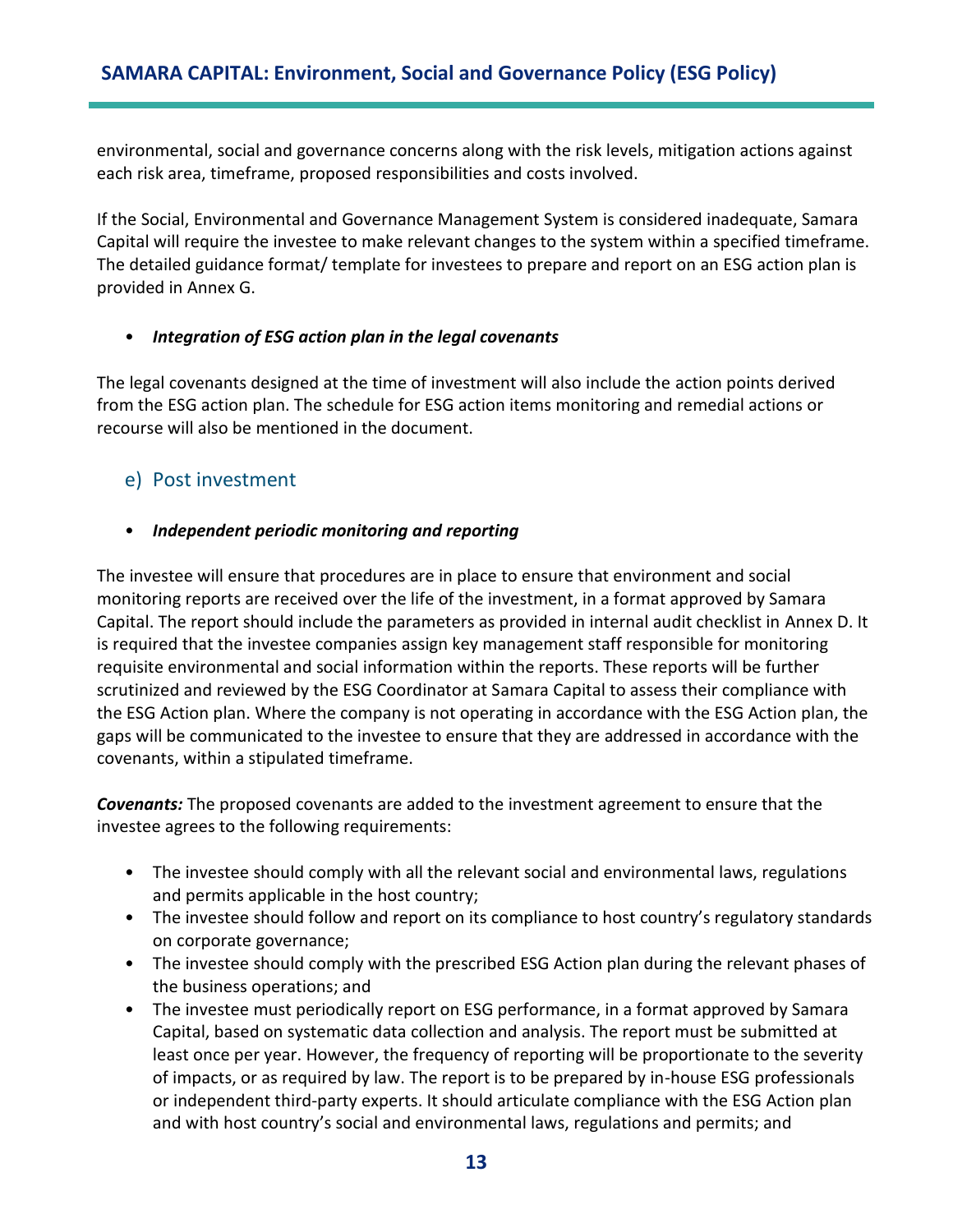environmental, social and governance concerns along with the risk levels, mitigation actions against each risk area, timeframe, proposed responsibilities and costs involved.

If the Social, Environmental and Governance Management System is considered inadequate, Samara Capital will require the investee to make relevant changes to the system within a specified timeframe. The detailed guidance format/ template for investees to prepare and report on an ESG action plan is provided in Annex G.

## • *Integration of ESG action plan in the legal covenants*

The legal covenants designed at the time of investment will also include the action points derived from the ESG action plan. The schedule for ESG action items monitoring and remedial actions or recourse will also be mentioned in the document.

## e) Post investment

## • *Independent periodic monitoring and reporting*

The investee will ensure that procedures are in place to ensure that environment and social monitoring reports are received over the life of the investment, in a format approved by Samara Capital. The report should include the parameters as provided in internal audit checklist in Annex D. It is required that the investee companies assign key management staff responsible for monitoring requisite environmental and social information within the reports. These reports will be further scrutinized and reviewed by the ESG Coordinator at Samara Capital to assess their compliance with the ESG Action plan. Where the company is not operating in accordance with the ESG Action plan, the gaps will be communicated to the investee to ensure that they are addressed in accordance with the covenants, within a stipulated timeframe.

*Covenants:* The proposed covenants are added to the investment agreement to ensure that the investee agrees to the following requirements:

- The investee should comply with all the relevant social and environmental laws, regulations and permits applicable in the host country;
- The investee should follow and report on its compliance to host country's regulatory standards on corporate governance;
- The investee should comply with the prescribed ESG Action plan during the relevant phases of the business operations; and
- The investee must periodically report on ESG performance, in a format approved by Samara Capital, based on systematic data collection and analysis. The report must be submitted at least once per year. However, the frequency of reporting will be proportionate to the severity of impacts, or as required by law. The report is to be prepared by in-house ESG professionals or independent third-party experts. It should articulate compliance with the ESG Action plan and with host country's social and environmental laws, regulations and permits; and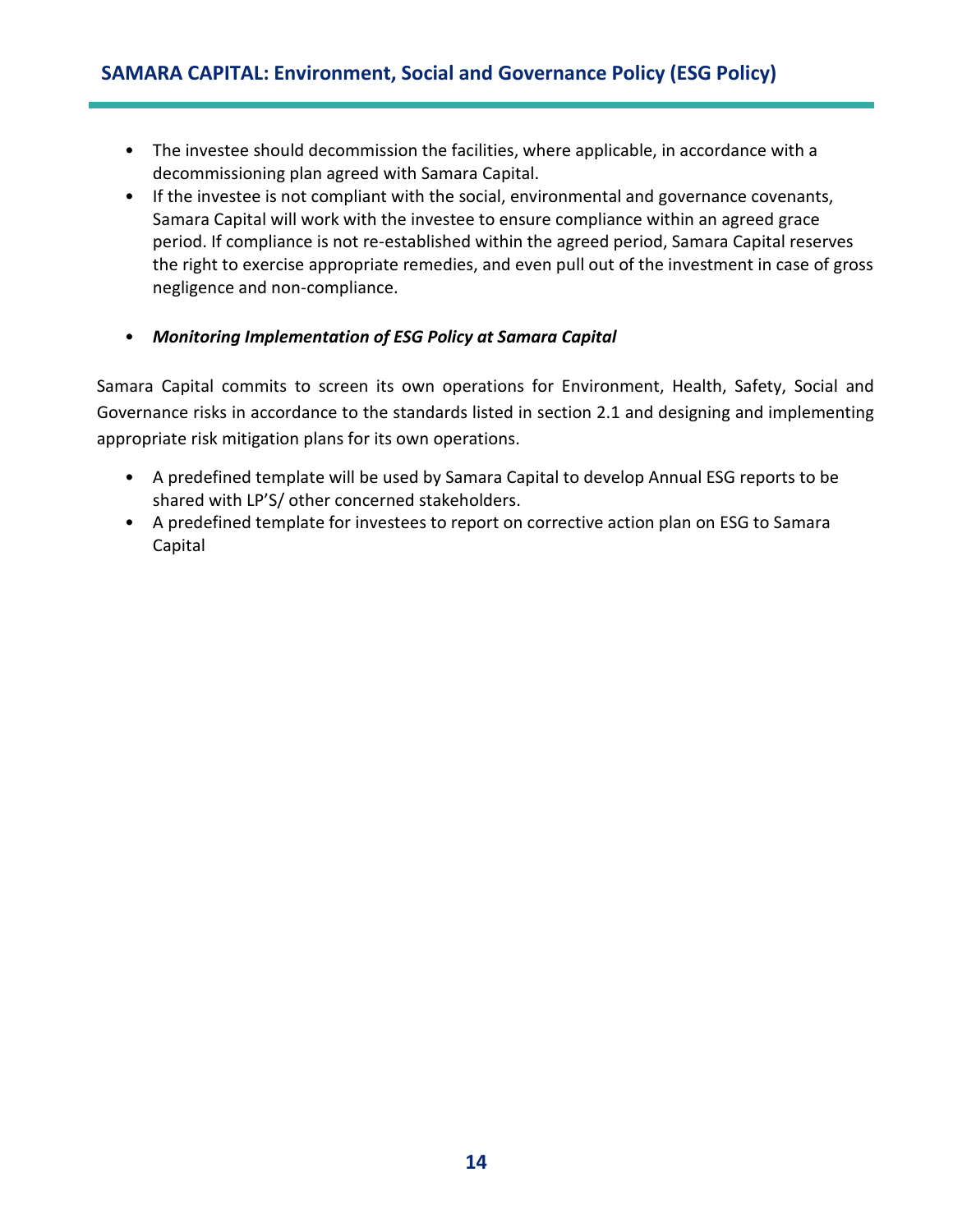- The investee should decommission the facilities, where applicable, in accordance with a decommissioning plan agreed with Samara Capital.
- If the investee is not compliant with the social, environmental and governance covenants, Samara Capital will work with the investee to ensure compliance within an agreed grace period. If compliance is not re-established within the agreed period, Samara Capital reserves the right to exercise appropriate remedies, and even pull out of the investment in case of gross negligence and non-compliance.
- *Monitoring Implementation of ESG Policy at Samara Capital*

Samara Capital commits to screen its own operations for Environment, Health, Safety, Social and Governance risks in accordance to the standards listed in section 2.1 and designing and implementing appropriate risk mitigation plans for its own operations.

- A predefined template will be used by Samara Capital to develop Annual ESG reports to be shared with LP'S/ other concerned stakeholders.
- A predefined template for investees to report on corrective action plan on ESG to Samara Capital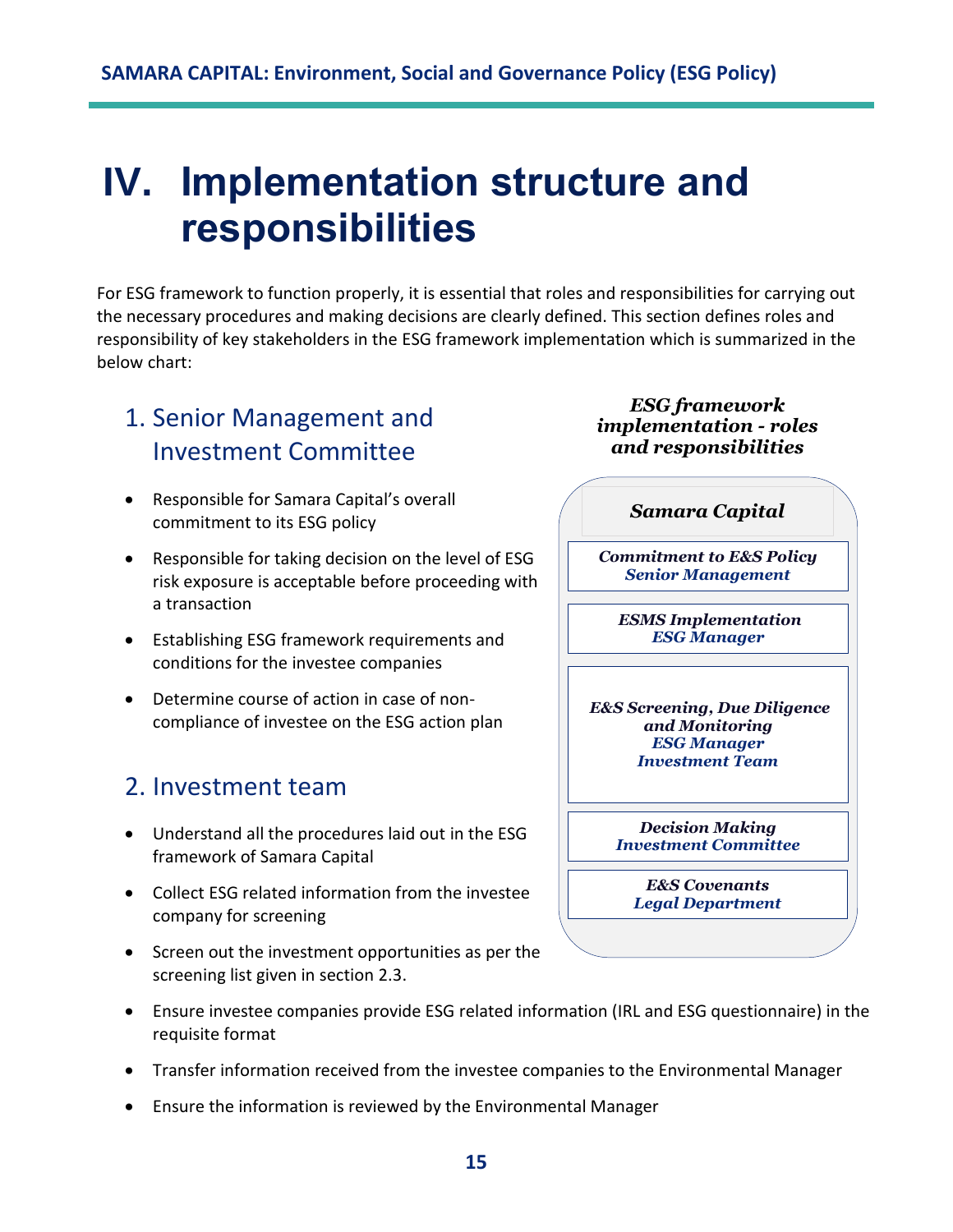# <span id="page-14-0"></span>**IV. Implementation structure and responsibilities**

For ESG framework to function properly, it is essential that roles and responsibilities for carrying out the necessary procedures and making decisions are clearly defined. This section defines roles and responsibility of key stakeholders in the ESG framework implementation which is summarized in the below chart:

# <span id="page-14-1"></span>1. Senior Management and Investment Committee

- Responsible for Samara Capital's overall commitment to its ESG policy
- Responsible for taking decision on the level of ESG risk exposure is acceptable before proceeding with a transaction
- Establishing ESG framework requirements and conditions for the investee companies
- Determine course of action in case of noncompliance of investee on the ESG action plan

# <span id="page-14-2"></span>2. Investment team

- Understand all the procedures laid out in the ESG framework of Samara Capital
- Collect ESG related information from the investee company for screening
- Screen out the investment opportunities as per the screening list given in section 2.3.



*ESG framework implementation - roles* 

- Ensure investee companies provide ESG related information (IRL and ESG questionnaire) in the requisite format
- Transfer information received from the investee companies to the Environmental Manager
- Ensure the information is reviewed by the Environmental Manager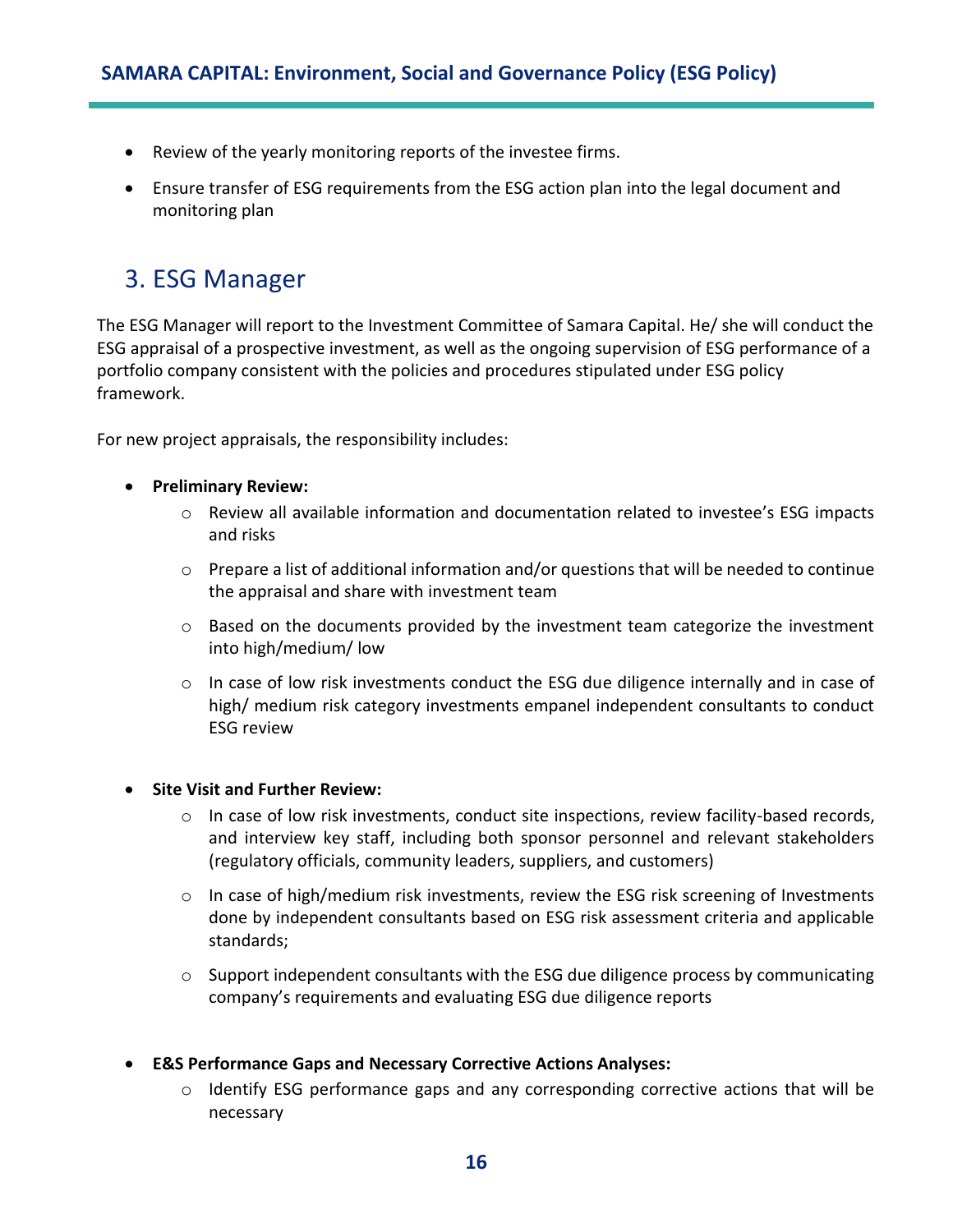- Review of the yearly monitoring reports of the investee firms.
- Ensure transfer of ESG requirements from the ESG action plan into the legal document and monitoring plan

## <span id="page-15-0"></span>3. ESG Manager

The ESG Manager will report to the Investment Committee of Samara Capital. He/ she will conduct the ESG appraisal of a prospective investment, as well as the ongoing supervision of ESG performance of a portfolio company consistent with the policies and procedures stipulated under ESG policy framework.

For new project appraisals, the responsibility includes:

- **Preliminary Review:** 
	- $\circ$  Review all available information and documentation related to investee's ESG impacts and risks
	- $\circ$  Prepare a list of additional information and/or questions that will be needed to continue the appraisal and share with investment team
	- $\circ$  Based on the documents provided by the investment team categorize the investment into high/medium/ low
	- $\circ$  In case of low risk investments conduct the ESG due diligence internally and in case of high/ medium risk category investments empanel independent consultants to conduct ESG review

#### • **Site Visit and Further Review:**

- $\circ$  In case of low risk investments, conduct site inspections, review facility-based records, and interview key staff, including both sponsor personnel and relevant stakeholders (regulatory officials, community leaders, suppliers, and customers)
- $\circ$  In case of high/medium risk investments, review the ESG risk screening of Investments done by independent consultants based on ESG risk assessment criteria and applicable standards;
- o Support independent consultants with the ESG due diligence process by communicating company's requirements and evaluating ESG due diligence reports
- **E&S Performance Gaps and Necessary Corrective Actions Analyses:**
	- $\circ$  Identify ESG performance gaps and any corresponding corrective actions that will be necessary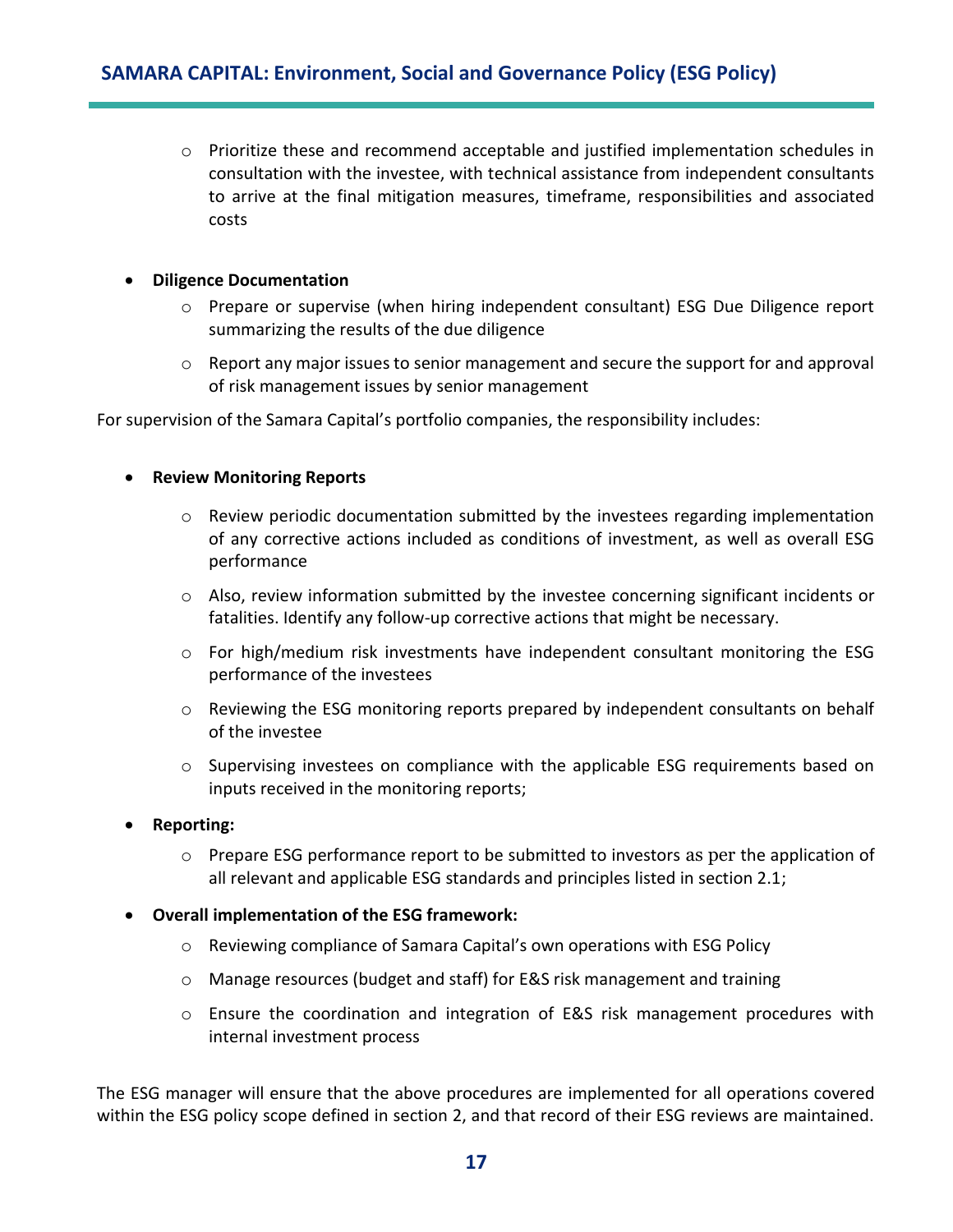$\circ$  Prioritize these and recommend acceptable and justified implementation schedules in consultation with the investee, with technical assistance from independent consultants to arrive at the final mitigation measures, timeframe, responsibilities and associated costs

#### • **Diligence Documentation**

- o Prepare or supervise (when hiring independent consultant) ESG Due Diligence report summarizing the results of the due diligence
- $\circ$  Report any major issues to senior management and secure the support for and approval of risk management issues by senior management

For supervision of the Samara Capital's portfolio companies, the responsibility includes:

#### • **Review Monitoring Reports**

- $\circ$  Review periodic documentation submitted by the investees regarding implementation of any corrective actions included as conditions of investment, as well as overall ESG performance
- $\circ$  Also, review information submitted by the investee concerning significant incidents or fatalities. Identify any follow-up corrective actions that might be necessary.
- $\circ$  For high/medium risk investments have independent consultant monitoring the ESG performance of the investees
- o Reviewing the ESG monitoring reports prepared by independent consultants on behalf of the investee
- $\circ$  Supervising investees on compliance with the applicable ESG requirements based on inputs received in the monitoring reports;

#### • **Reporting:**

- o Prepare ESG performance report to be submitted to investors as per the application of all relevant and applicable ESG standards and principles listed in section 2.1;
- **Overall implementation of the ESG framework:**
	- o Reviewing compliance of Samara Capital's own operations with ESG Policy
	- o Manage resources (budget and staff) for E&S risk management and training
	- o Ensure the coordination and integration of E&S risk management procedures with internal investment process

The ESG manager will ensure that the above procedures are implemented for all operations covered within the ESG policy scope defined in section 2, and that record of their ESG reviews are maintained.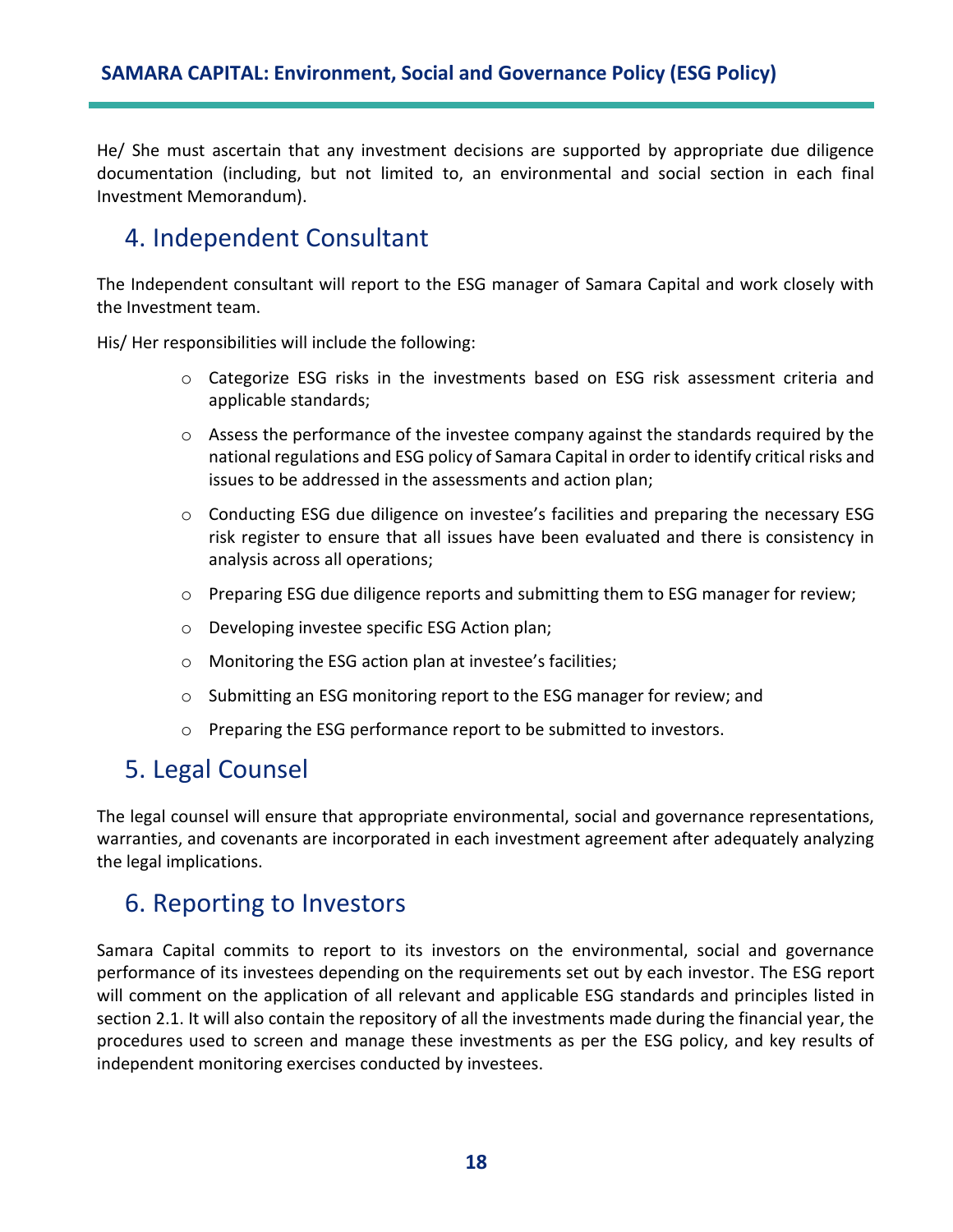He/ She must ascertain that any investment decisions are supported by appropriate due diligence documentation (including, but not limited to, an environmental and social section in each final Investment Memorandum).

# <span id="page-17-0"></span>4. Independent Consultant

The Independent consultant will report to the ESG manager of Samara Capital and work closely with the Investment team.

His/ Her responsibilities will include the following:

- o Categorize ESG risks in the investments based on ESG risk assessment criteria and applicable standards;
- o Assess the performance of the investee company against the standards required by the national regulations and ESG policy of Samara Capital in order to identify critical risks and issues to be addressed in the assessments and action plan;
- $\circ$  Conducting ESG due diligence on investee's facilities and preparing the necessary ESG risk register to ensure that all issues have been evaluated and there is consistency in analysis across all operations;
- $\circ$  Preparing ESG due diligence reports and submitting them to ESG manager for review;
- o Developing investee specific ESG Action plan;
- o Monitoring the ESG action plan at investee's facilities;
- o Submitting an ESG monitoring report to the ESG manager for review; and
- o Preparing the ESG performance report to be submitted to investors.

## <span id="page-17-1"></span>5. Legal Counsel

The legal counsel will ensure that appropriate environmental, social and governance representations, warranties, and covenants are incorporated in each investment agreement after adequately analyzing the legal implications.

## <span id="page-17-2"></span>6. Reporting to Investors

Samara Capital commits to report to its investors on the environmental, social and governance performance of its investees depending on the requirements set out by each investor. The ESG report will comment on the application of all relevant and applicable ESG standards and principles listed in section 2.1. It will also contain the repository of all the investments made during the financial year, the procedures used to screen and manage these investments as per the ESG policy, and key results of independent monitoring exercises conducted by investees.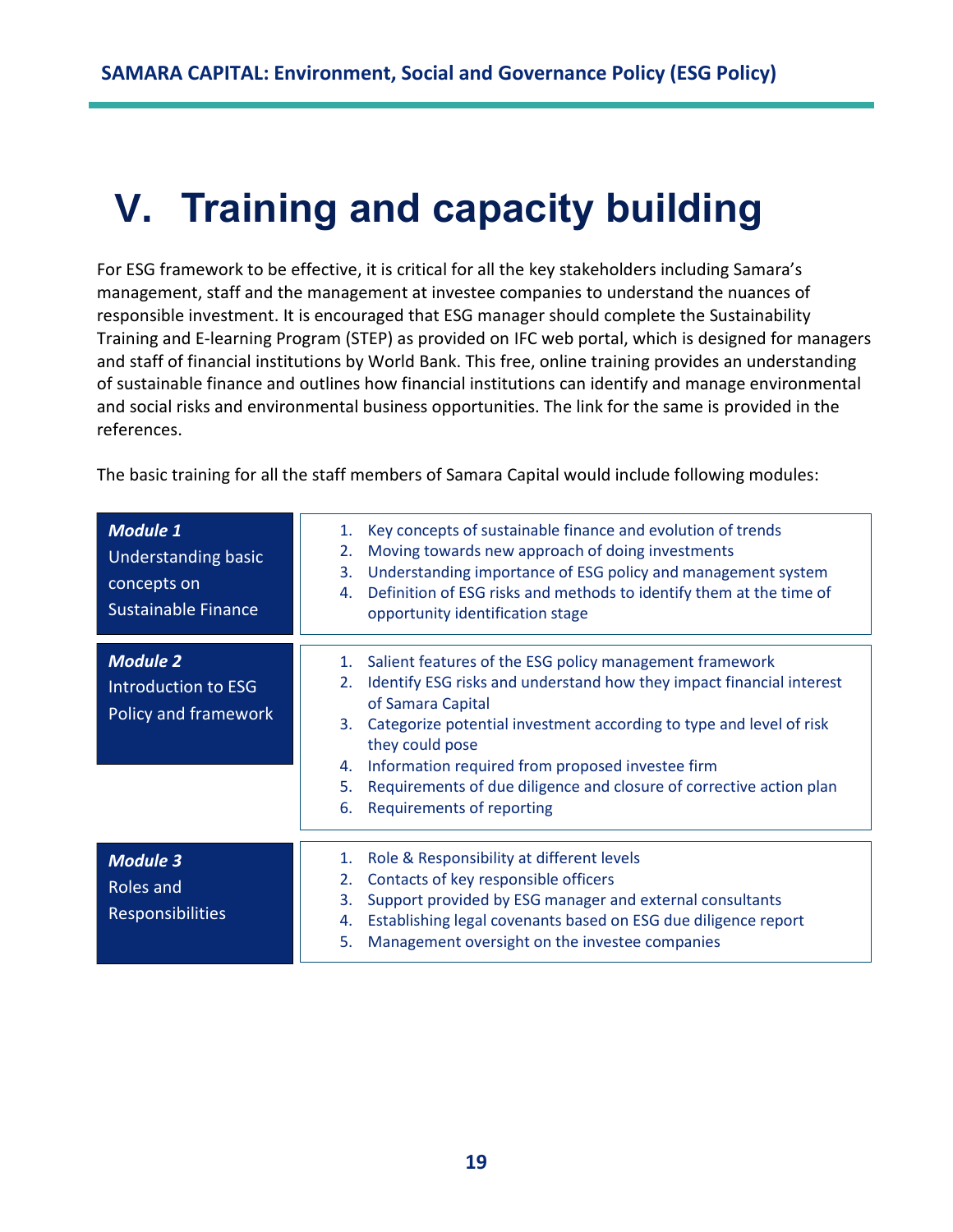# <span id="page-18-0"></span>**V. Training and capacity building**

For ESG framework to be effective, it is critical for all the key stakeholders including Samara's management, staff and the management at investee companies to understand the nuances of responsible investment. It is encouraged that ESG manager should complete the Sustainability Training and E-learning Program (STEP) as provided on IFC web portal, which is designed for managers and staff of financial institutions by World Bank. This free, online training provides an understanding of sustainable finance and outlines how financial institutions can identify and manage environmental and social risks and environmental business opportunities. The link for the same is provided in the references.

The basic training for all the staff members of Samara Capital would include following modules:

| <b>Module 1</b><br><b>Understanding basic</b><br>concepts on<br><b>Sustainable Finance</b> | Key concepts of sustainable finance and evolution of trends<br>1.<br>Moving towards new approach of doing investments<br>2.<br>Understanding importance of ESG policy and management system<br>3.<br>Definition of ESG risks and methods to identify them at the time of<br>4.<br>opportunity identification stage                                                                                                                                |
|--------------------------------------------------------------------------------------------|---------------------------------------------------------------------------------------------------------------------------------------------------------------------------------------------------------------------------------------------------------------------------------------------------------------------------------------------------------------------------------------------------------------------------------------------------|
| <b>Module 2</b><br>Introduction to ESG<br>Policy and framework                             | Salient features of the ESG policy management framework<br>1.<br>Identify ESG risks and understand how they impact financial interest<br>2.<br>of Samara Capital<br>Categorize potential investment according to type and level of risk<br>3.<br>they could pose<br>Information required from proposed investee firm<br>4.<br>Requirements of due diligence and closure of corrective action plan<br>5.<br><b>Requirements of reporting</b><br>6. |
| <b>Module 3</b><br>Roles and<br><b>Responsibilities</b>                                    | Role & Responsibility at different levels<br>1.<br>Contacts of key responsible officers<br>2.<br>Support provided by ESG manager and external consultants<br>3.<br>Establishing legal covenants based on ESG due diligence report<br>4.<br>Management oversight on the investee companies<br>5.                                                                                                                                                   |